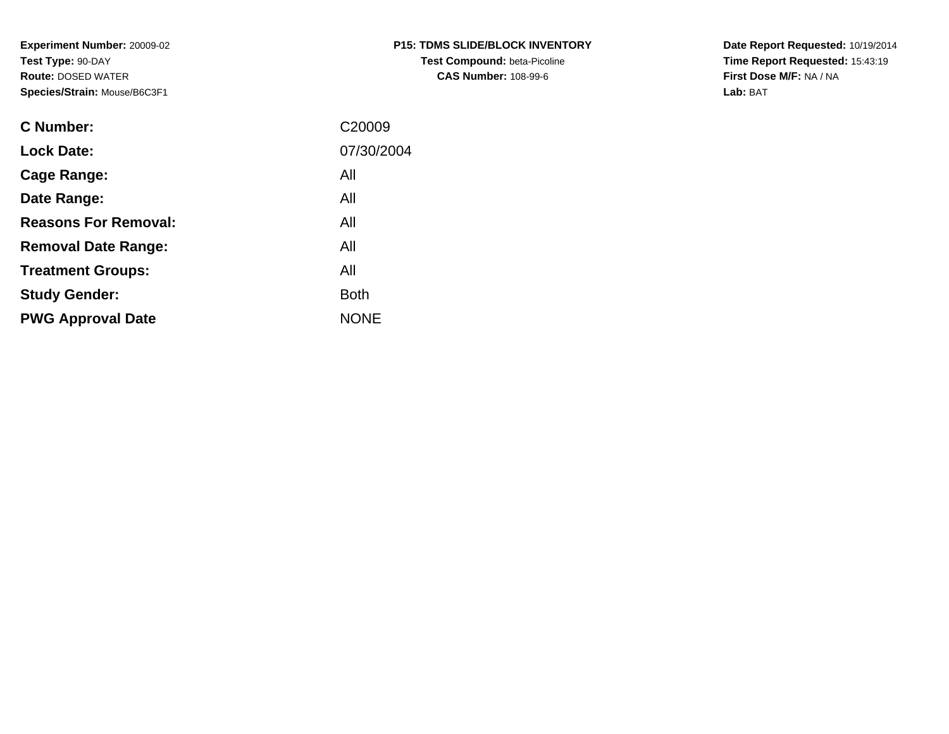**Experiment Number:** 20009-02**Test Type:** 90-DAY **Route:** DOSED WATER**Species/Strain:** Mouse/B6C3F1

| <b>C Number:</b>            | C20009      |
|-----------------------------|-------------|
| <b>Lock Date:</b>           | 07/30/2004  |
| <b>Cage Range:</b>          | All         |
| Date Range:                 | All         |
| <b>Reasons For Removal:</b> | All         |
| <b>Removal Date Range:</b>  | All         |
| <b>Treatment Groups:</b>    | All         |
| <b>Study Gender:</b>        | <b>Both</b> |
| <b>PWG Approval Date</b>    | <b>NONE</b> |
|                             |             |

**Date Report Requested:** 10/19/2014 **Time Report Requested:** 15:43:19**First Dose M/F:** NA / NA**Lab:** BAT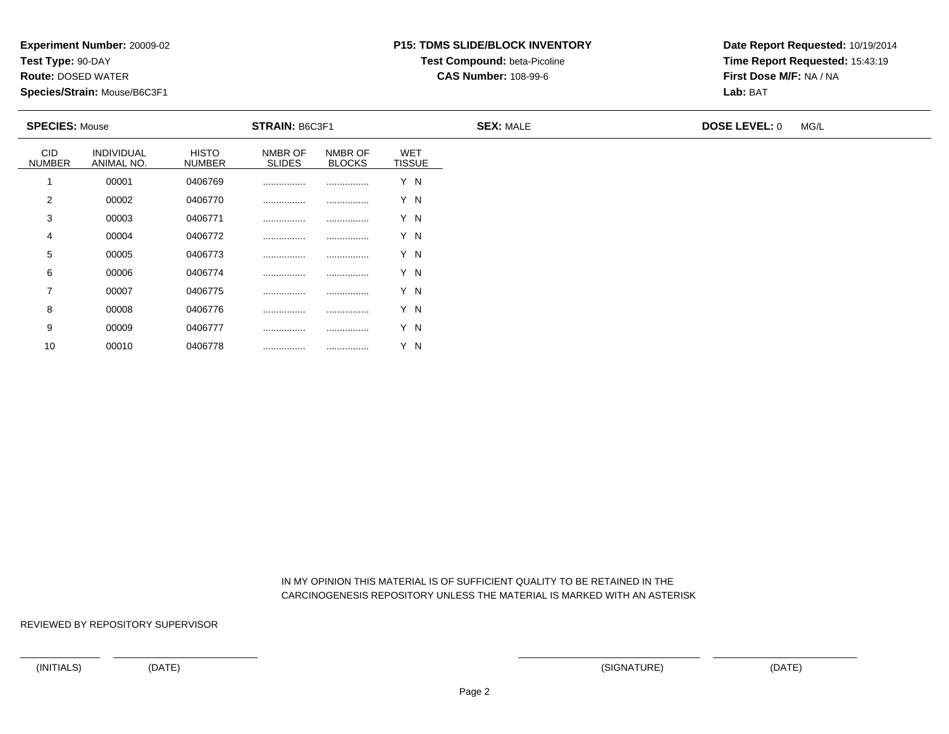**Test Type:** 90-DAY

10

**Route:** DOSED WATER

**Species/Strain:** Mouse/B6C3F1

# **P15: TDMS SLIDE/BLOCK INVENTORYTest Compound:** beta-Picoline

**CAS Number:** 108-99-6

**Date Report Requested:** 10/19/2014**Time Report Requested:** 15:43:19**First Dose M/F:** NA / NA**Lab:** BAT

| <b>SPECIES: Mouse</b>       |                          |                               | <b>STRAIN: B6C3F1</b>    |                          |                             | <b>SEX: MALE</b> | <b>DOSE LEVEL: 0</b> | MG/L |
|-----------------------------|--------------------------|-------------------------------|--------------------------|--------------------------|-----------------------------|------------------|----------------------|------|
| <b>CID</b><br><b>NUMBER</b> | INDIVIDUAL<br>ANIMAL NO. | <b>HISTO</b><br><b>NUMBER</b> | NMBR OF<br><b>SLIDES</b> | NMBR OF<br><b>BLOCKS</b> | <b>WET</b><br><b>TISSUE</b> |                  |                      |      |
|                             | 00001                    | 0406769                       |                          |                          | Y N                         |                  |                      |      |
| 2                           | 00002                    | 0406770                       |                          |                          | Y N                         |                  |                      |      |
| 3                           | 00003                    | 0406771                       |                          |                          | Y N                         |                  |                      |      |
| 4                           | 00004                    | 0406772                       |                          |                          | Y N                         |                  |                      |      |
| 5                           | 00005                    | 0406773                       |                          |                          | Y N                         |                  |                      |      |
| 6                           | 00006                    | 0406774                       | .                        |                          | Y N                         |                  |                      |      |
| $\overline{7}$              | 00007                    | 0406775                       | .                        |                          | Y N                         |                  |                      |      |
| 8                           | 00008                    | 0406776                       |                          |                          | Y N                         |                  |                      |      |
| 9                           | 00009                    | 0406777                       | .                        |                          | Y N                         |                  |                      |      |

 IN MY OPINION THIS MATERIAL IS OF SUFFICIENT QUALITY TO BE RETAINED IN THECARCINOGENESIS REPOSITORY UNLESS THE MATERIAL IS MARKED WITH AN ASTERISK

REVIEWED BY REPOSITORY SUPERVISOR

<sup>00010</sup> <sup>0406778</sup> ................ ................ Y N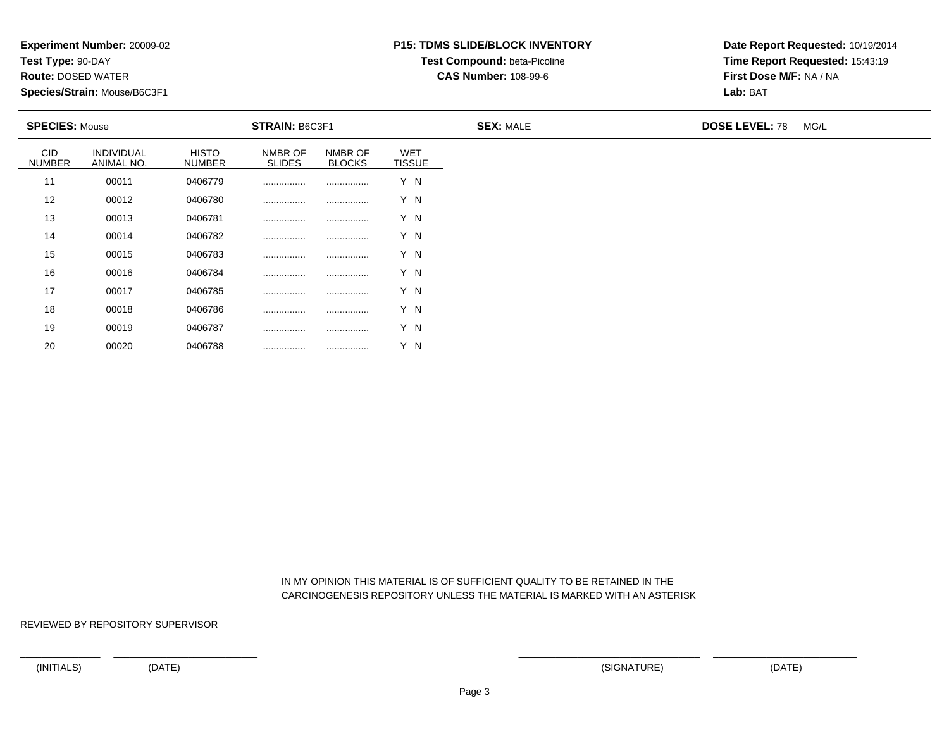**Test Type:** 90-DAY

20

**Route:** DOSED WATER

**Species/Strain:** Mouse/B6C3F1

# **P15: TDMS SLIDE/BLOCK INVENTORYTest Compound:** beta-Picoline

**CAS Number:** 108-99-6

**Date Report Requested:** 10/19/2014**Time Report Requested:** 15:43:19**First Dose M/F:** NA / NA**Lab:** BAT

| <b>SPECIES: Mouse</b>       |                          |                               | <b>STRAIN: B6C3F1</b>    |                          |                      | <b>SEX: MALE</b> | <b>DOSE LEVEL: 78</b><br>MG/L |
|-----------------------------|--------------------------|-------------------------------|--------------------------|--------------------------|----------------------|------------------|-------------------------------|
| <b>CID</b><br><b>NUMBER</b> | INDIVIDUAL<br>ANIMAL NO. | <b>HISTO</b><br><b>NUMBER</b> | NMBR OF<br><b>SLIDES</b> | NMBR OF<br><b>BLOCKS</b> | WET<br><b>TISSUE</b> |                  |                               |
| 11                          | 00011                    | 0406779                       |                          |                          | Y N                  |                  |                               |
| 12                          | 00012                    | 0406780                       |                          |                          | Y N                  |                  |                               |
| 13                          | 00013                    | 0406781                       |                          |                          | Y N                  |                  |                               |
| 14                          | 00014                    | 0406782                       |                          |                          | Y N                  |                  |                               |
| 15                          | 00015                    | 0406783                       |                          |                          | Y N                  |                  |                               |
| 16                          | 00016                    | 0406784                       |                          |                          | Y N                  |                  |                               |
| 17                          | 00017                    | 0406785                       |                          |                          | Y N                  |                  |                               |
| 18                          | 00018                    | 0406786                       |                          |                          | Y N                  |                  |                               |
| 19                          | 00019                    | 0406787                       |                          |                          | Y N                  |                  |                               |

 IN MY OPINION THIS MATERIAL IS OF SUFFICIENT QUALITY TO BE RETAINED IN THECARCINOGENESIS REPOSITORY UNLESS THE MATERIAL IS MARKED WITH AN ASTERISK

REVIEWED BY REPOSITORY SUPERVISOR

<sup>00020</sup> <sup>0406788</sup> ................ ................ Y N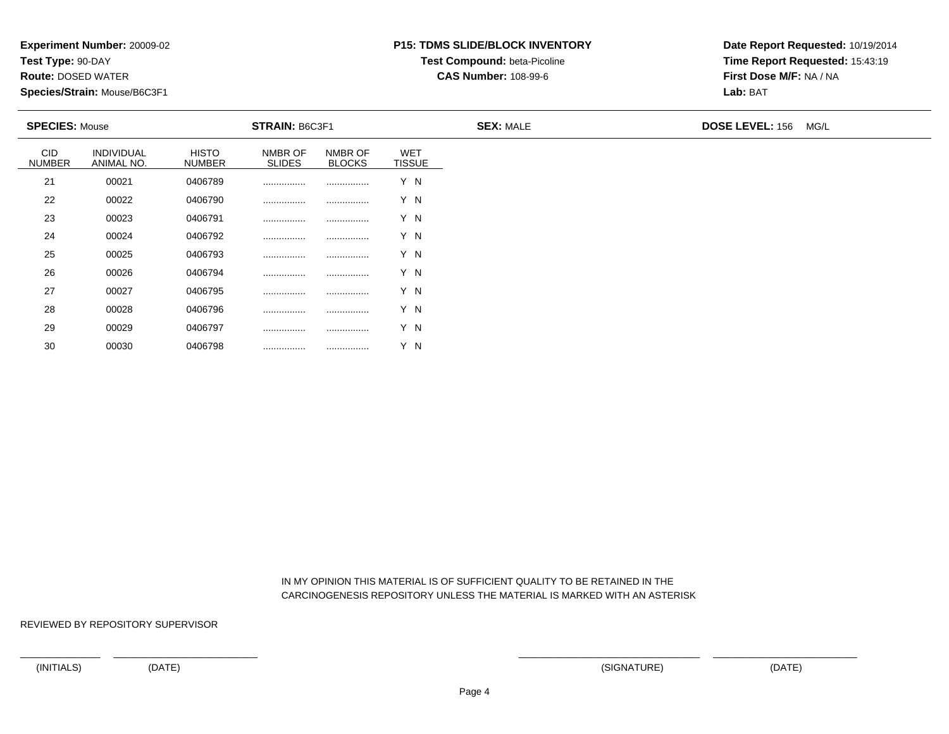**Test Type:** 90-DAY

30

**Route:** DOSED WATER

**Species/Strain:** Mouse/B6C3F1

# **P15: TDMS SLIDE/BLOCK INVENTORYTest Compound:** beta-Picoline

**CAS Number:** 108-99-6

**Date Report Requested:** 10/19/2014**Time Report Requested:** 15:43:19**First Dose M/F:** NA / NA**Lab:** BAT

| <b>SPECIES: Mouse</b> |                          |                               | <b>STRAIN: B6C3F1</b>    |                          |                             | <b>SEX: MALE</b> | DOSE LEVEL: 156 MG/L |
|-----------------------|--------------------------|-------------------------------|--------------------------|--------------------------|-----------------------------|------------------|----------------------|
| CID<br><b>NUMBER</b>  | INDIVIDUAL<br>ANIMAL NO. | <b>HISTO</b><br><b>NUMBER</b> | NMBR OF<br><b>SLIDES</b> | NMBR OF<br><b>BLOCKS</b> | <b>WET</b><br><b>TISSUE</b> |                  |                      |
| 21                    | 00021                    | 0406789                       |                          |                          | Y N                         |                  |                      |
| 22                    | 00022                    | 0406790                       |                          |                          | Y N                         |                  |                      |
| 23                    | 00023                    | 0406791                       |                          |                          | Y N                         |                  |                      |
| 24                    | 00024                    | 0406792                       |                          |                          | Y N                         |                  |                      |
| 25                    | 00025                    | 0406793                       |                          |                          | Y N                         |                  |                      |
| 26                    | 00026                    | 0406794                       |                          |                          | Y N                         |                  |                      |
| 27                    | 00027                    | 0406795                       |                          |                          | Y N                         |                  |                      |
| 28                    | 00028                    | 0406796                       |                          |                          | Y N                         |                  |                      |
| 29                    | 00029                    | 0406797                       |                          |                          | Y N                         |                  |                      |

 IN MY OPINION THIS MATERIAL IS OF SUFFICIENT QUALITY TO BE RETAINED IN THECARCINOGENESIS REPOSITORY UNLESS THE MATERIAL IS MARKED WITH AN ASTERISK

REVIEWED BY REPOSITORY SUPERVISOR

<sup>00030</sup> <sup>0406798</sup> ................ ................ Y N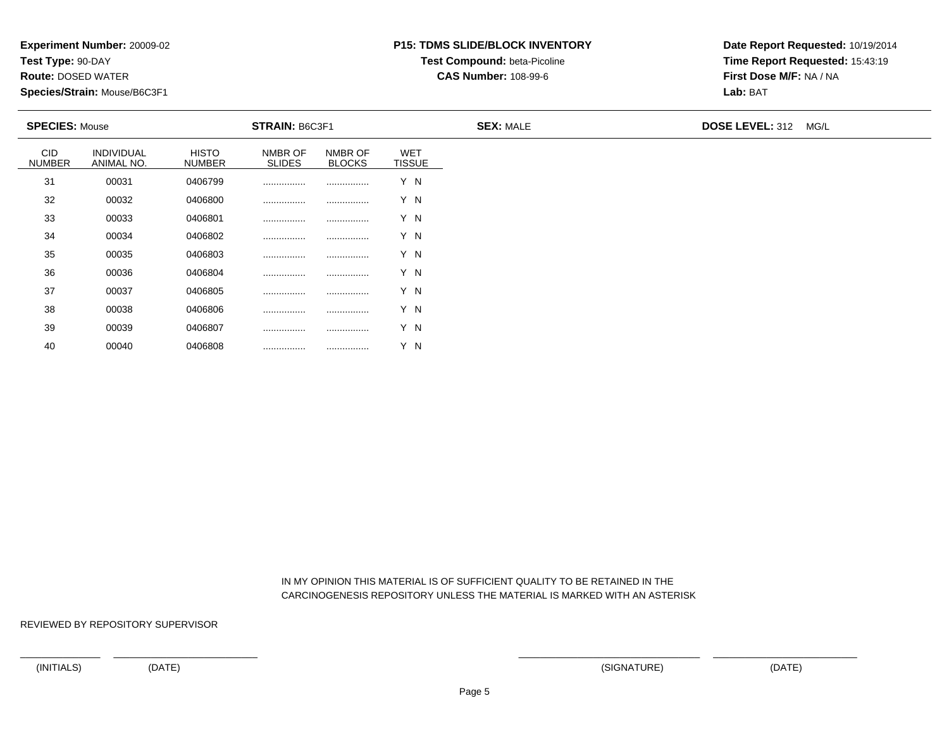**Test Type:** 90-DAY

40

**Route:** DOSED WATER

**Species/Strain:** Mouse/B6C3F1

# **P15: TDMS SLIDE/BLOCK INVENTORYTest Compound:** beta-Picoline

**CAS Number:** 108-99-6

**Date Report Requested:** 10/19/2014**Time Report Requested:** 15:43:19**First Dose M/F:** NA / NA**Lab:** BAT

| <b>SPECIES: Mouse</b> |                          |                               | <b>STRAIN: B6C3F1</b>    |                          |                             | <b>SEX: MALE</b> | DOSE LEVEL: 312 MG/L |
|-----------------------|--------------------------|-------------------------------|--------------------------|--------------------------|-----------------------------|------------------|----------------------|
| CID<br><b>NUMBER</b>  | INDIVIDUAL<br>ANIMAL NO. | <b>HISTO</b><br><b>NUMBER</b> | NMBR OF<br><b>SLIDES</b> | NMBR OF<br><b>BLOCKS</b> | <b>WET</b><br><b>TISSUE</b> |                  |                      |
| 31                    | 00031                    | 0406799                       |                          |                          | Y N                         |                  |                      |
| 32                    | 00032                    | 0406800                       |                          |                          | Y N                         |                  |                      |
| 33                    | 00033                    | 0406801                       |                          |                          | Y N                         |                  |                      |
| 34                    | 00034                    | 0406802                       |                          |                          | Y N                         |                  |                      |
| 35                    | 00035                    | 0406803                       |                          |                          | Y N                         |                  |                      |
| 36                    | 00036                    | 0406804                       |                          |                          | Y N                         |                  |                      |
| 37                    | 00037                    | 0406805                       |                          |                          | Y N                         |                  |                      |
| 38                    | 00038                    | 0406806                       |                          |                          | Y N                         |                  |                      |
| 39                    | 00039                    | 0406807                       |                          |                          | Y N                         |                  |                      |

 IN MY OPINION THIS MATERIAL IS OF SUFFICIENT QUALITY TO BE RETAINED IN THECARCINOGENESIS REPOSITORY UNLESS THE MATERIAL IS MARKED WITH AN ASTERISK

REVIEWED BY REPOSITORY SUPERVISOR

<sup>00040</sup> <sup>0406808</sup> ................ ................ Y N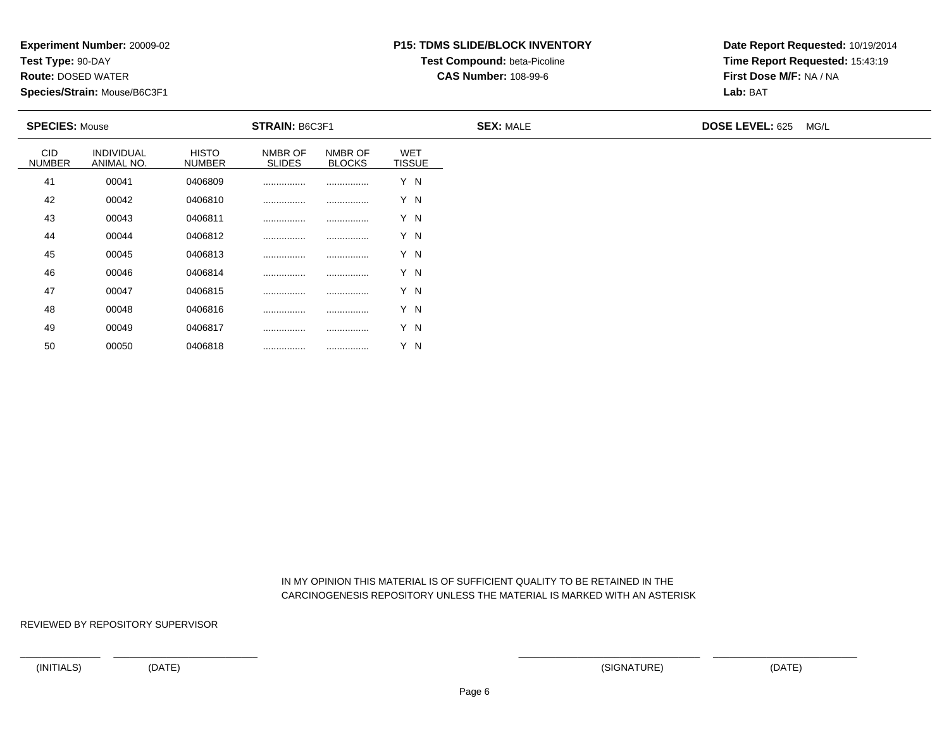**Test Type:** 90-DAY

50

**Route:** DOSED WATER

**Species/Strain:** Mouse/B6C3F1

# **P15: TDMS SLIDE/BLOCK INVENTORYTest Compound:** beta-Picoline

**CAS Number:** 108-99-6

**Date Report Requested:** 10/19/2014**Time Report Requested:** 15:43:19**First Dose M/F:** NA / NA**Lab:** BAT

| <b>SPECIES: Mouse</b>       |                          |                               | <b>STRAIN: B6C3F1</b>    |                          |                             | <b>SEX: MALE</b> | DOSE LEVEL: 625 MG/L |  |
|-----------------------------|--------------------------|-------------------------------|--------------------------|--------------------------|-----------------------------|------------------|----------------------|--|
| <b>CID</b><br><b>NUMBER</b> | INDIVIDUAL<br>ANIMAL NO. | <b>HISTO</b><br><b>NUMBER</b> | NMBR OF<br><b>SLIDES</b> | NMBR OF<br><b>BLOCKS</b> | <b>WET</b><br><b>TISSUE</b> |                  |                      |  |
| 41                          | 00041                    | 0406809                       | .                        |                          | Y N                         |                  |                      |  |
| 42                          | 00042                    | 0406810                       |                          |                          | Y N                         |                  |                      |  |
| 43                          | 00043                    | 0406811                       |                          |                          | Y N                         |                  |                      |  |
| 44                          | 00044                    | 0406812                       |                          |                          | Y N                         |                  |                      |  |
| 45                          | 00045                    | 0406813                       | .                        |                          | Y N                         |                  |                      |  |
| 46                          | 00046                    | 0406814                       | .                        |                          | Y N                         |                  |                      |  |
| 47                          | 00047                    | 0406815                       | .                        |                          | Y N                         |                  |                      |  |
| 48                          | 00048                    | 0406816                       | .                        |                          | Y N                         |                  |                      |  |
| 49                          | 00049                    | 0406817                       |                          |                          | Y N                         |                  |                      |  |

 IN MY OPINION THIS MATERIAL IS OF SUFFICIENT QUALITY TO BE RETAINED IN THECARCINOGENESIS REPOSITORY UNLESS THE MATERIAL IS MARKED WITH AN ASTERISK

REVIEWED BY REPOSITORY SUPERVISOR

<sup>00050</sup> <sup>0406818</sup> ................ ................ Y N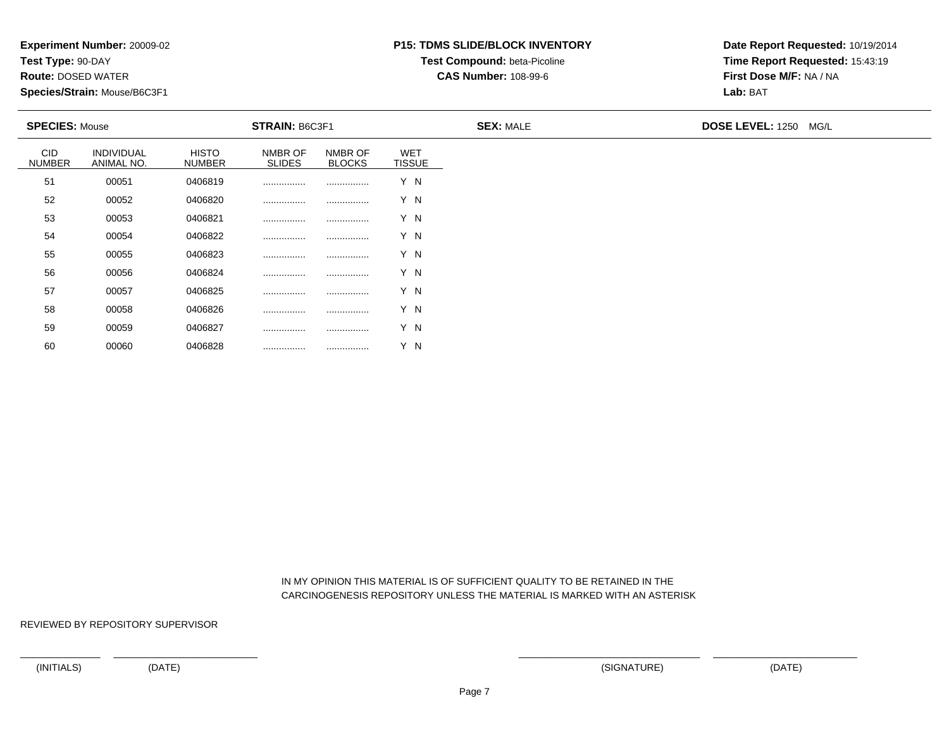**Test Type:** 90-DAY

60

**Route:** DOSED WATER

**Species/Strain:** Mouse/B6C3F1

# **P15: TDMS SLIDE/BLOCK INVENTORYTest Compound:** beta-Picoline

**CAS Number:** 108-99-6

**Date Report Requested:** 10/19/2014**Time Report Requested:** 15:43:19**First Dose M/F:** NA / NA**Lab:** BAT

| <b>SPECIES: Mouse</b>       |                          |                               | <b>STRAIN: B6C3F1</b>    |                          |                             | <b>SEX: MALE</b> | DOSE LEVEL: 1250 MG/L |
|-----------------------------|--------------------------|-------------------------------|--------------------------|--------------------------|-----------------------------|------------------|-----------------------|
| <b>CID</b><br><b>NUMBER</b> | INDIVIDUAL<br>ANIMAL NO. | <b>HISTO</b><br><b>NUMBER</b> | NMBR OF<br><b>SLIDES</b> | NMBR OF<br><b>BLOCKS</b> | <b>WET</b><br><b>TISSUE</b> |                  |                       |
| 51                          | 00051                    | 0406819                       |                          |                          | Y N                         |                  |                       |
| 52                          | 00052                    | 0406820                       |                          |                          | Y N                         |                  |                       |
| 53                          | 00053                    | 0406821                       |                          |                          | Y N                         |                  |                       |
| 54                          | 00054                    | 0406822                       |                          |                          | Y N                         |                  |                       |
| 55                          | 00055                    | 0406823                       |                          |                          | Y N                         |                  |                       |
| 56                          | 00056                    | 0406824                       |                          |                          | Y N                         |                  |                       |
| 57                          | 00057                    | 0406825                       |                          |                          | Y N                         |                  |                       |
| 58                          | 00058                    | 0406826                       |                          |                          | Y N                         |                  |                       |
| 59                          | 00059                    | 0406827                       |                          |                          | Y N                         |                  |                       |

 IN MY OPINION THIS MATERIAL IS OF SUFFICIENT QUALITY TO BE RETAINED IN THECARCINOGENESIS REPOSITORY UNLESS THE MATERIAL IS MARKED WITH AN ASTERISK

REVIEWED BY REPOSITORY SUPERVISOR

<sup>00060</sup> <sup>0406828</sup> ................ ................ Y N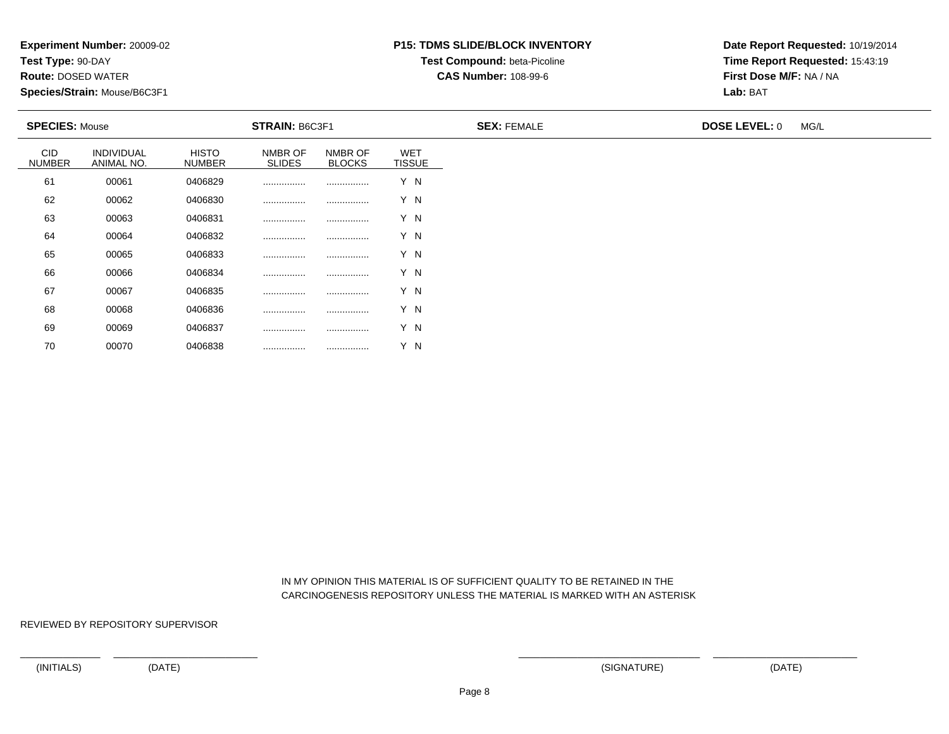**Test Type:** 90-DAY

70

**Route:** DOSED WATER

**Species/Strain:** Mouse/B6C3F1

# **P15: TDMS SLIDE/BLOCK INVENTORY**

**Test Compound:** beta-Picoline

**CAS Number:** 108-99-6

**Date Report Requested:** 10/19/2014**Time Report Requested:** 15:43:19**First Dose M/F:** NA / NA**Lab:** BAT

| <b>SPECIES: Mouse</b>       |                                 |                               | <b>STRAIN: B6C3F1</b>    |                          |                             | <b>SEX: FEMALE</b> | <b>DOSE LEVEL: 0</b> | MG/L |
|-----------------------------|---------------------------------|-------------------------------|--------------------------|--------------------------|-----------------------------|--------------------|----------------------|------|
| <b>CID</b><br><b>NUMBER</b> | <b>INDIVIDUAL</b><br>ANIMAL NO. | <b>HISTO</b><br><b>NUMBER</b> | NMBR OF<br><b>SLIDES</b> | NMBR OF<br><b>BLOCKS</b> | <b>WET</b><br><b>TISSUE</b> |                    |                      |      |
| 61                          | 00061                           | 0406829                       | .                        | .                        | Y N                         |                    |                      |      |
| 62                          | 00062                           | 0406830                       |                          |                          | Y N                         |                    |                      |      |
| 63                          | 00063                           | 0406831                       |                          |                          | Y N                         |                    |                      |      |
| 64                          | 00064                           | 0406832                       |                          |                          | Y N                         |                    |                      |      |
| 65                          | 00065                           | 0406833                       |                          |                          | Y N                         |                    |                      |      |
| 66                          | 00066                           | 0406834                       |                          |                          | Y N                         |                    |                      |      |
| 67                          | 00067                           | 0406835                       | .                        |                          | Y N                         |                    |                      |      |
| 68                          | 00068                           | 0406836                       |                          |                          | Y N                         |                    |                      |      |
| 69                          | 00069                           | 0406837                       |                          |                          | Y N                         |                    |                      |      |

 IN MY OPINION THIS MATERIAL IS OF SUFFICIENT QUALITY TO BE RETAINED IN THECARCINOGENESIS REPOSITORY UNLESS THE MATERIAL IS MARKED WITH AN ASTERISK

REVIEWED BY REPOSITORY SUPERVISOR

<sup>00070</sup> <sup>0406838</sup> ................ ................ Y N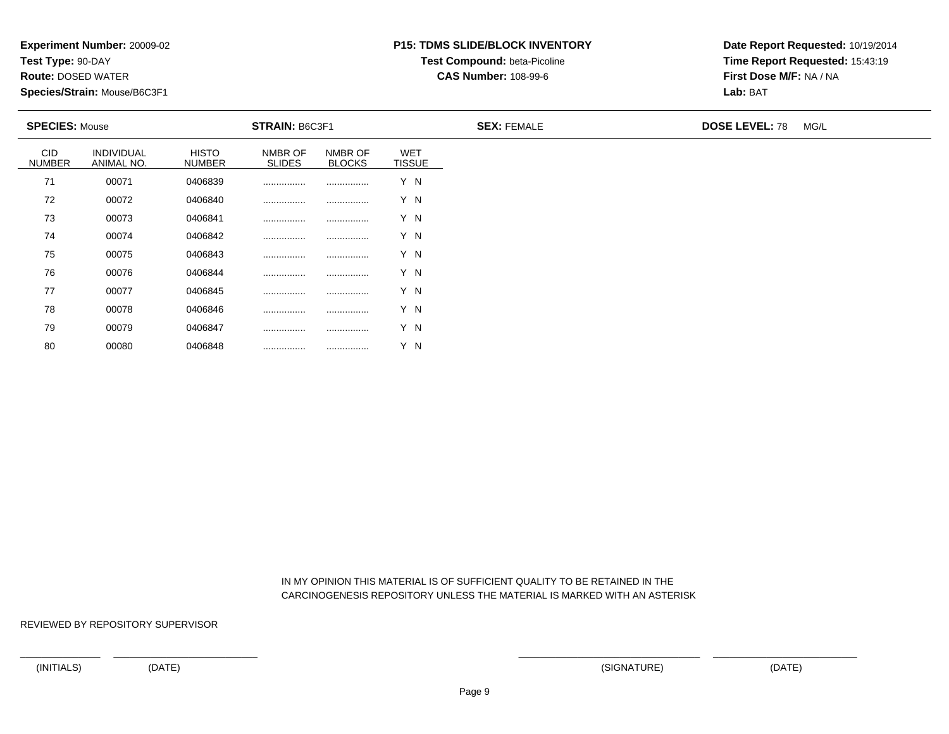**Test Type:** 90-DAY

80

**Route:** DOSED WATER

**Species/Strain:** Mouse/B6C3F1

# **P15: TDMS SLIDE/BLOCK INVENTORYTest Compound:** beta-Picoline

**CAS Number:** 108-99-6

**Date Report Requested:** 10/19/2014**Time Report Requested:** 15:43:19**First Dose M/F:** NA / NA**Lab:** BAT

| <b>SPECIES: Mouse</b>       |                          |                        | STRAIN: B6C3F1           |                          |                             | <b>SEX: FEMALE</b> | <b>DOSE LEVEL: 78</b> | MG/L |
|-----------------------------|--------------------------|------------------------|--------------------------|--------------------------|-----------------------------|--------------------|-----------------------|------|
| <b>CID</b><br><b>NUMBER</b> | INDIVIDUAL<br>ANIMAL NO. | HISTO<br><b>NUMBER</b> | NMBR OF<br><b>SLIDES</b> | NMBR OF<br><b>BLOCKS</b> | <b>WET</b><br><b>TISSUE</b> |                    |                       |      |
| 71                          | 00071                    | 0406839                |                          |                          | Y N                         |                    |                       |      |
| 72                          | 00072                    | 0406840                |                          |                          | Y N                         |                    |                       |      |
| 73                          | 00073                    | 0406841                |                          |                          | Y N                         |                    |                       |      |
| 74                          | 00074                    | 0406842                |                          |                          | Y N                         |                    |                       |      |
| 75                          | 00075                    | 0406843                |                          |                          | Y N                         |                    |                       |      |
| 76                          | 00076                    | 0406844                |                          |                          | Y N                         |                    |                       |      |
| 77                          | 00077                    | 0406845                |                          |                          | Y N                         |                    |                       |      |
| 78                          | 00078                    | 0406846                |                          |                          | Y N                         |                    |                       |      |
| 79                          | 00079                    | 0406847                | .                        |                          | Y N                         |                    |                       |      |

 IN MY OPINION THIS MATERIAL IS OF SUFFICIENT QUALITY TO BE RETAINED IN THECARCINOGENESIS REPOSITORY UNLESS THE MATERIAL IS MARKED WITH AN ASTERISK

REVIEWED BY REPOSITORY SUPERVISOR

<sup>00080</sup> <sup>0406848</sup> ................ ................ Y N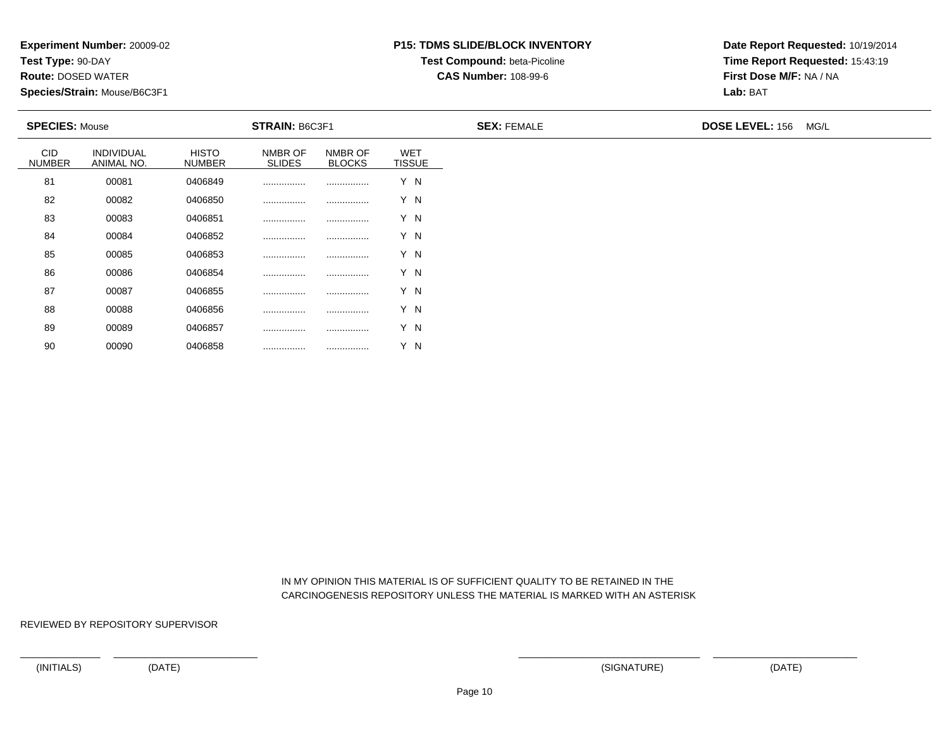**Test Type:** 90-DAY

90

**Route:** DOSED WATER

**Species/Strain:** Mouse/B6C3F1

# **P15: TDMS SLIDE/BLOCK INVENTORYTest Compound:** beta-Picoline

**CAS Number:** 108-99-6

**Date Report Requested:** 10/19/2014**Time Report Requested:** 15:43:19**First Dose M/F:** NA / NA**Lab:** BAT

| <b>SPECIES: Mouse</b>       |                          |                               | <b>STRAIN: B6C3F1</b>    |                          |                             | <b>SEX: FEMALE</b> | <b>DOSE LEVEL: 156</b><br>MG/L |
|-----------------------------|--------------------------|-------------------------------|--------------------------|--------------------------|-----------------------------|--------------------|--------------------------------|
| <b>CID</b><br><b>NUMBER</b> | INDIVIDUAL<br>ANIMAL NO. | <b>HISTO</b><br><b>NUMBER</b> | NMBR OF<br><b>SLIDES</b> | NMBR OF<br><b>BLOCKS</b> | <b>WET</b><br><b>TISSUE</b> |                    |                                |
| 81                          | 00081                    | 0406849                       |                          |                          | Y N                         |                    |                                |
| 82                          | 00082                    | 0406850                       |                          |                          | Y N                         |                    |                                |
| 83                          | 00083                    | 0406851                       |                          |                          | Y N                         |                    |                                |
| 84                          | 00084                    | 0406852                       |                          |                          | Y N                         |                    |                                |
| 85                          | 00085                    | 0406853                       | .                        |                          | Y N                         |                    |                                |
| 86                          | 00086                    | 0406854                       |                          |                          | Y N                         |                    |                                |
| 87                          | 00087                    | 0406855                       | .                        |                          | Y N                         |                    |                                |
| 88                          | 00088                    | 0406856                       | .                        |                          | Y N                         |                    |                                |
| 89                          | 00089                    | 0406857                       |                          |                          | Y N                         |                    |                                |

 IN MY OPINION THIS MATERIAL IS OF SUFFICIENT QUALITY TO BE RETAINED IN THECARCINOGENESIS REPOSITORY UNLESS THE MATERIAL IS MARKED WITH AN ASTERISK

REVIEWED BY REPOSITORY SUPERVISOR

<sup>00090</sup> <sup>0406858</sup> ................ ................ Y N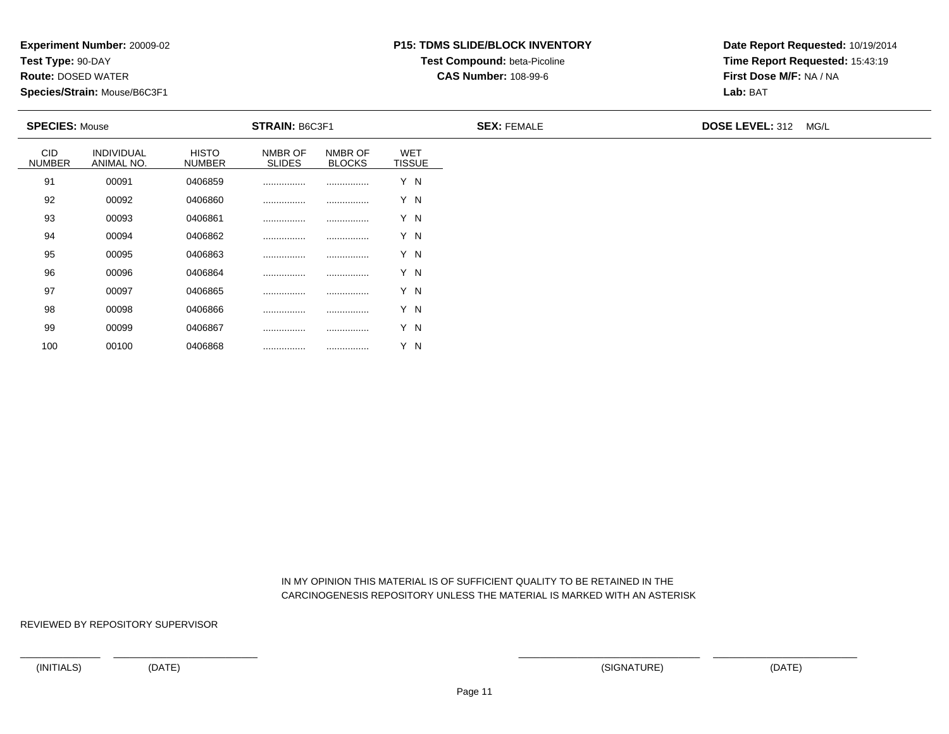**Test Type:** 90-DAY

100

**Route:** DOSED WATER

**Species/Strain:** Mouse/B6C3F1

# **P15: TDMS SLIDE/BLOCK INVENTORYTest Compound:** beta-Picoline

**CAS Number:** 108-99-6

**Date Report Requested:** 10/19/2014**Time Report Requested:** 15:43:19**First Dose M/F:** NA / NA**Lab:** BAT

| <b>SPECIES: Mouse</b>       |                          |                               | <b>STRAIN: B6C3F1</b>    |                          |                             | <b>SEX: FEMALE</b> | <b>DOSE LEVEL: 312</b><br>MG/L |
|-----------------------------|--------------------------|-------------------------------|--------------------------|--------------------------|-----------------------------|--------------------|--------------------------------|
| <b>CID</b><br><b>NUMBER</b> | INDIVIDUAL<br>ANIMAL NO. | <b>HISTO</b><br><b>NUMBER</b> | NMBR OF<br><b>SLIDES</b> | NMBR OF<br><b>BLOCKS</b> | <b>WET</b><br><b>TISSUE</b> |                    |                                |
| 91                          | 00091                    | 0406859                       |                          |                          | Y N                         |                    |                                |
| 92                          | 00092                    | 0406860                       |                          |                          | Y N                         |                    |                                |
| 93                          | 00093                    | 0406861                       |                          |                          | Y N                         |                    |                                |
| 94                          | 00094                    | 0406862                       |                          |                          | Y N                         |                    |                                |
| 95                          | 00095                    | 0406863                       |                          |                          | Y N                         |                    |                                |
| 96                          | 00096                    | 0406864                       |                          |                          | Y N                         |                    |                                |
| 97                          | 00097                    | 0406865                       |                          |                          | Y N                         |                    |                                |
| 98                          | 00098                    | 0406866                       |                          |                          | Y N                         |                    |                                |
| 99                          | 00099                    | 0406867                       |                          |                          | Y N                         |                    |                                |

 IN MY OPINION THIS MATERIAL IS OF SUFFICIENT QUALITY TO BE RETAINED IN THECARCINOGENESIS REPOSITORY UNLESS THE MATERIAL IS MARKED WITH AN ASTERISK

REVIEWED BY REPOSITORY SUPERVISOR

<sup>00100</sup> <sup>0406868</sup> ................ ................ Y N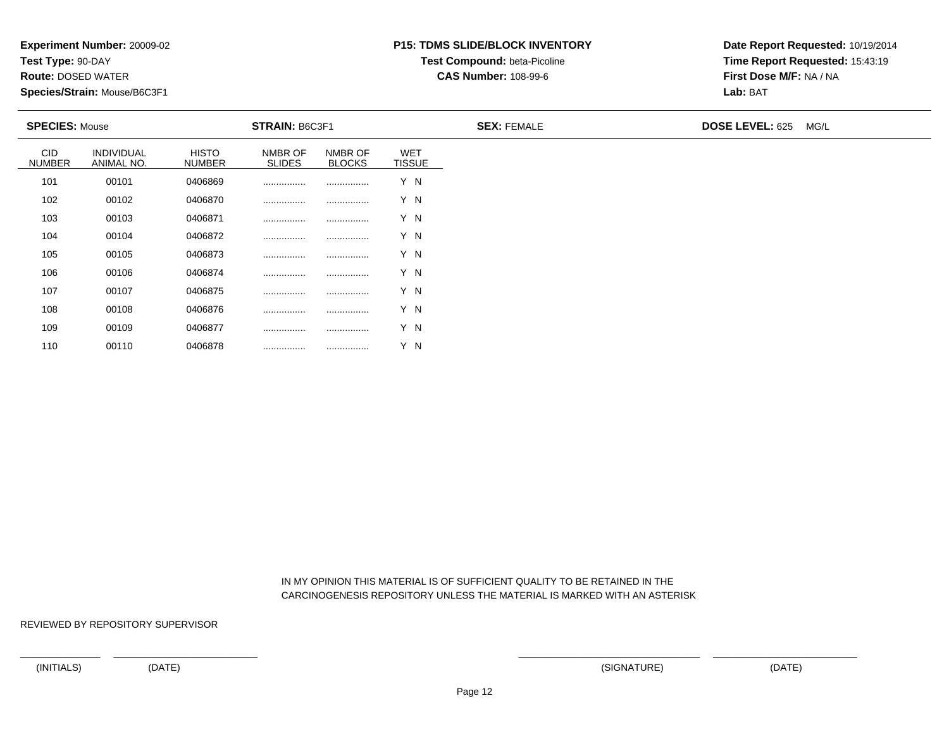**Test Type:** 90-DAY

110

**Route:** DOSED WATER

**Species/Strain:** Mouse/B6C3F1

# **P15: TDMS SLIDE/BLOCK INVENTORYTest Compound:** beta-Picoline

**CAS Number:** 108-99-6

**Date Report Requested:** 10/19/2014**Time Report Requested:** 15:43:19**First Dose M/F:** NA / NA**Lab:** BAT

| <b>SPECIES: Mouse</b>       |                          |                               | STRAIN: B6C3F1           |                          |                             | <b>SEX: FEMALE</b> | DOSE LEVEL: 625 MG/L |
|-----------------------------|--------------------------|-------------------------------|--------------------------|--------------------------|-----------------------------|--------------------|----------------------|
| <b>CID</b><br><b>NUMBER</b> | INDIVIDUAL<br>ANIMAL NO. | <b>HISTO</b><br><b>NUMBER</b> | NMBR OF<br><b>SLIDES</b> | NMBR OF<br><b>BLOCKS</b> | <b>WET</b><br><b>TISSUE</b> |                    |                      |
| 101                         | 00101                    | 0406869                       |                          |                          | Y N                         |                    |                      |
| 102                         | 00102                    | 0406870                       |                          |                          | Y N                         |                    |                      |
| 103                         | 00103                    | 0406871                       |                          |                          | Y N                         |                    |                      |
| 104                         | 00104                    | 0406872                       |                          |                          | Y N                         |                    |                      |
| 105                         | 00105                    | 0406873                       |                          |                          | Y N                         |                    |                      |
| 106                         | 00106                    | 0406874                       |                          |                          | Y N                         |                    |                      |
| 107                         | 00107                    | 0406875                       |                          |                          | Y N                         |                    |                      |
| 108                         | 00108                    | 0406876                       |                          |                          | Y N                         |                    |                      |
| 109                         | 00109                    | 0406877                       |                          |                          | Y N                         |                    |                      |

 IN MY OPINION THIS MATERIAL IS OF SUFFICIENT QUALITY TO BE RETAINED IN THECARCINOGENESIS REPOSITORY UNLESS THE MATERIAL IS MARKED WITH AN ASTERISK

REVIEWED BY REPOSITORY SUPERVISOR

<sup>00110</sup> <sup>0406878</sup> ................ ................ Y N